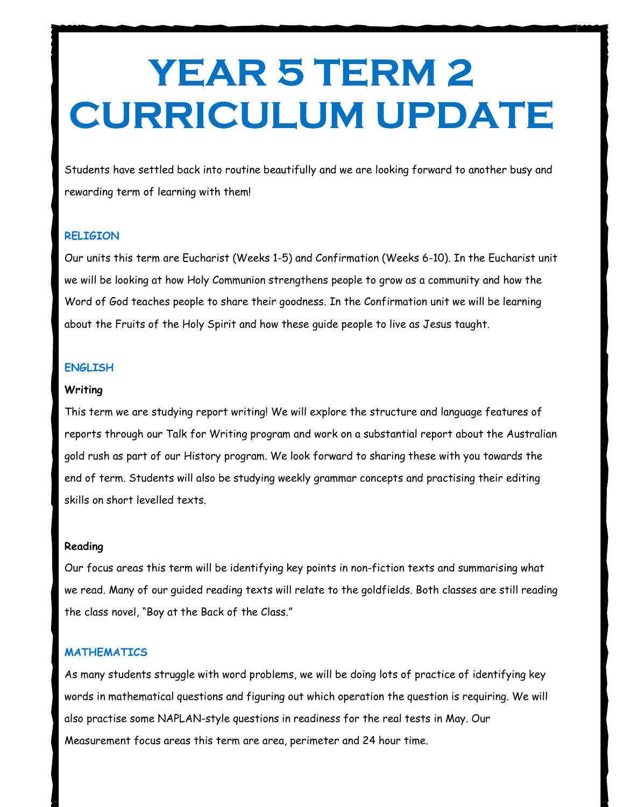# YEAR 5 TERM 2 CURRICULUM UPDATE

Students have settled back into routine beautifully and we are looking forward to another busy and rewarding term of learning with them!

# **RELIGION**

Our units this term are Eucharist (Weeks 1-5) and Confirmation (Weeks 6-10). In the Eucharist unit we will be looking at how Holy Communion strengthens people to grow as a community and how the Word of God teaches people to share their goodness. In the Confirmation unit we will be learning about the Fruits of the Holy Spirit and how these guide people to live as Jesus taught.

# ENGLISH

#### **Writing**

This term we are studying report writing! We will explore the structure and language features of reports through our Talk for Writing program and work on a substantial report about the Australian gold rush as part of our History program. We look forward to sharing these with you towards the end of term. Students will also be studying weekly grammar concepts and practising their editing skills on short levelled texts.

### Reading

Our focus areas this term will be identifying key points in non-fiction texts and summarising what we read. Many of our guided reading texts will relate to the goldfields. Both classes are still reading the class novel, "Boy at the Back of the Class."

# **MATHEMATICS**

As many students struggle with word problems, we will be doing lots of practice of identifying key words in mathematical questions and figuring out which operation the question is requiring. We will also practise some NAPLAN-style questions in readiness for the real tests in May. Our Measurement focus areas this term are area, perimeter and 24 hour time.